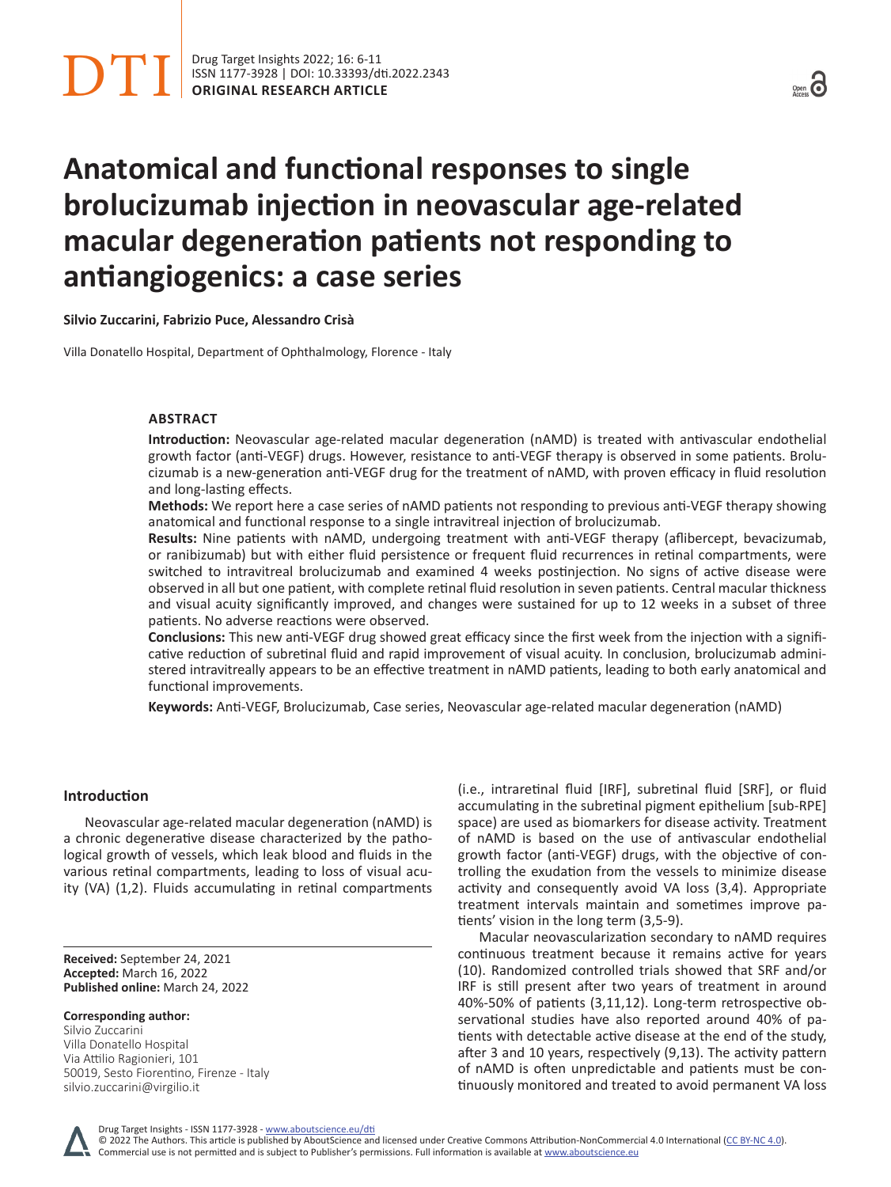# **Anatomical and functional responses to single brolucizumab injection in neovascular age-related macular degeneration patients not responding to antiangiogenics: a case series**

**Silvio Zuccarini, Fabrizio Puce, Alessandro Crisà**

Villa Donatello Hospital, Department of Ophthalmology, Florence - Italy

# **ABSTRACT**

**Introduction:** Neovascular age-related macular degeneration (nAMD) is treated with antivascular endothelial growth factor (anti-VEGF) drugs. However, resistance to anti-VEGF therapy is observed in some patients. Brolucizumab is a new-generation anti-VEGF drug for the treatment of nAMD, with proven efficacy in fluid resolution and long-lasting effects.

**Methods:** We report here a case series of nAMD patients not responding to previous anti-VEGF therapy showing anatomical and functional response to a single intravitreal injection of brolucizumab.

**Results:** Nine patients with nAMD, undergoing treatment with anti-VEGF therapy (aflibercept, bevacizumab, or ranibizumab) but with either fluid persistence or frequent fluid recurrences in retinal compartments, were switched to intravitreal brolucizumab and examined 4 weeks postinjection. No signs of active disease were observed in all but one patient, with complete retinal fluid resolution in seven patients. Central macular thickness and visual acuity significantly improved, and changes were sustained for up to 12 weeks in a subset of three patients. No adverse reactions were observed.

**Conclusions:** This new anti-VEGF drug showed great efficacy since the first week from the injection with a significative reduction of subretinal fluid and rapid improvement of visual acuity. In conclusion, brolucizumab administered intravitreally appears to be an effective treatment in nAMD patients, leading to both early anatomical and functional improvements.

**Keywords:** Anti-VEGF, Brolucizumab, Case series, Neovascular age-related macular degeneration (nAMD)

## **Introduction**

Neovascular age-related macular degeneration (nAMD) is a chronic degenerative disease characterized by the pathological growth of vessels, which leak blood and fluids in the various retinal compartments, leading to loss of visual acuity (VA) (1,2). Fluids accumulating in retinal compartments

**Received:** September 24, 2021 **Accepted:** March 16, 2022 **Published online:** March 24, 2022

**Corresponding author:** Silvio Zuccarini Villa Donatello Hospital Via Attilio Ragionieri, 101 50019, Sesto Fiorentino, Firenze - Italy silvio.zuccarini@virgilio.it

(i.e., intraretinal fluid [IRF], subretinal fluid [SRF], or fluid accumulating in the subretinal pigment epithelium [sub-RPE] space) are used as biomarkers for disease activity. Treatment of nAMD is based on the use of antivascular endothelial growth factor (anti-VEGF) drugs, with the objective of controlling the exudation from the vessels to minimize disease activity and consequently avoid VA loss (3,4). Appropriate treatment intervals maintain and sometimes improve patients' vision in the long term (3,5-9).

Macular neovascularization secondary to nAMD requires continuous treatment because it remains active for years (10). Randomized controlled trials showed that SRF and/or IRF is still present after two years of treatment in around 40%-50% of patients (3,11,12). Long-term retrospective observational studies have also reported around 40% of patients with detectable active disease at the end of the study, after 3 and 10 years, respectively (9,13). The activity pattern of nAMD is often unpredictable and patients must be continuously monitored and treated to avoid permanent VA loss

Drug Target Insights - ISSN 1177-3928 - www.aboutscience.eu/dti

© 2022 The Authors. This article is published by AboutScience and licensed under Creative Commons Attribution-NonCommercial 4.0 International ([CC BY-NC 4.0](https://creativecommons.org/licenses/by-nc/4.0/legalcode)). Commercial use is not permitted and is subject to Publisher's permissions. Full information is available at www.aboutscience.eu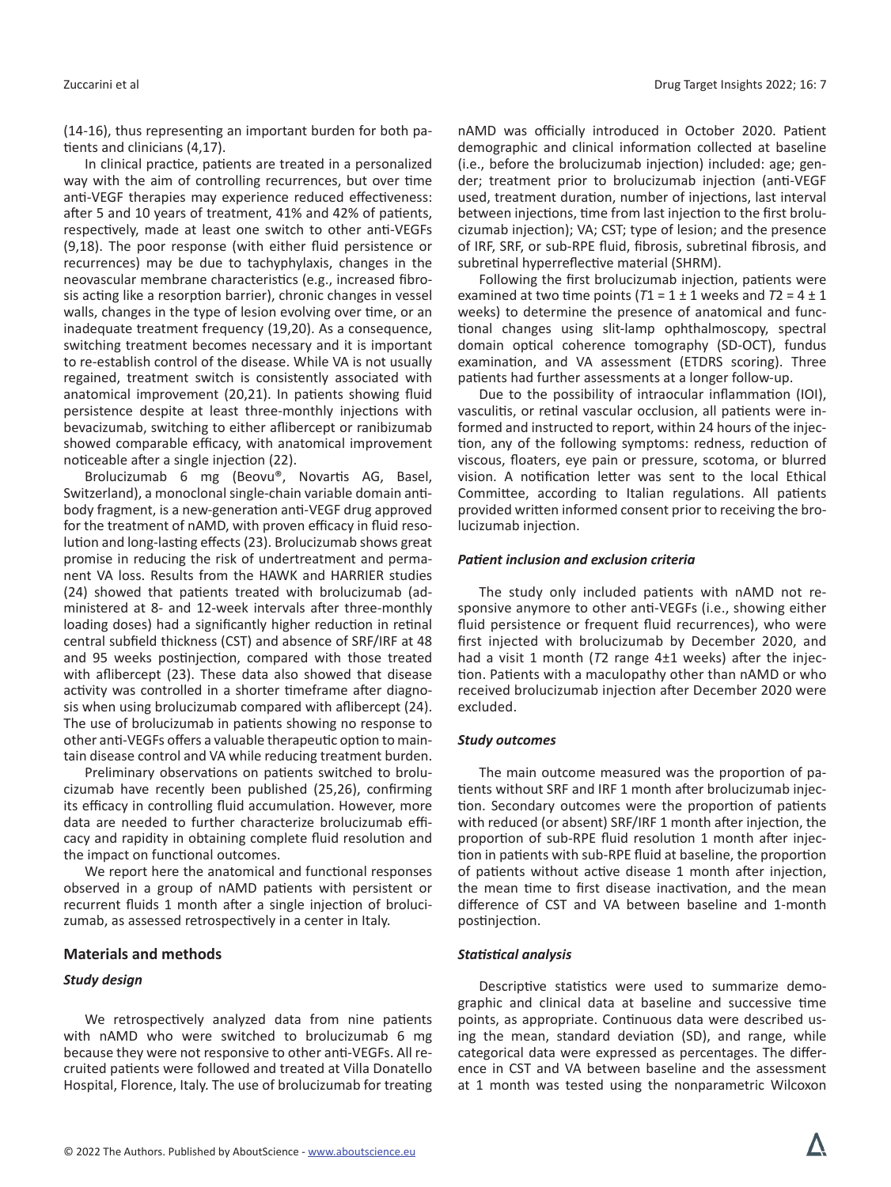(14-16), thus representing an important burden for both patients and clinicians (4,17).

In clinical practice, patients are treated in a personalized way with the aim of controlling recurrences, but over time anti-VEGF therapies may experience reduced effectiveness: after 5 and 10 years of treatment, 41% and 42% of patients, respectively, made at least one switch to other anti-VEGFs (9,18). The poor response (with either fluid persistence or recurrences) may be due to tachyphylaxis, changes in the neovascular membrane characteristics (e.g., increased fibrosis acting like a resorption barrier), chronic changes in vessel walls, changes in the type of lesion evolving over time, or an inadequate treatment frequency (19,20). As a consequence, switching treatment becomes necessary and it is important to re-establish control of the disease. While VA is not usually regained, treatment switch is consistently associated with anatomical improvement (20,21). In patients showing fluid persistence despite at least three-monthly injections with bevacizumab, switching to either aflibercept or ranibizumab showed comparable efficacy, with anatomical improvement noticeable after a single injection (22).

Brolucizumab 6 mg (Beovu®, Novartis AG, Basel, Switzerland), a monoclonal single-chain variable domain antibody fragment, is a new-generation anti-VEGF drug approved for the treatment of nAMD, with proven efficacy in fluid resolution and long-lasting effects (23). Brolucizumab shows great promise in reducing the risk of undertreatment and permanent VA loss. Results from the HAWK and HARRIER studies (24) showed that patients treated with brolucizumab (administered at 8- and 12-week intervals after three-monthly loading doses) had a significantly higher reduction in retinal central subfield thickness (CST) and absence of SRF/IRF at 48 and 95 weeks postinjection, compared with those treated with aflibercept (23). These data also showed that disease activity was controlled in a shorter timeframe after diagnosis when using brolucizumab compared with aflibercept (24). The use of brolucizumab in patients showing no response to other anti-VEGFs offers a valuable therapeutic option to maintain disease control and VA while reducing treatment burden.

Preliminary observations on patients switched to brolucizumab have recently been published (25,26), confirming its efficacy in controlling fluid accumulation. However, more data are needed to further characterize brolucizumab efficacy and rapidity in obtaining complete fluid resolution and the impact on functional outcomes.

We report here the anatomical and functional responses observed in a group of nAMD patients with persistent or recurrent fluids 1 month after a single injection of brolucizumab, as assessed retrospectively in a center in Italy.

#### **Materials and methods**

#### *Study design*

We retrospectively analyzed data from nine patients with nAMD who were switched to brolucizumab 6 mg because they were not responsive to other anti-VEGFs. All recruited patients were followed and treated at Villa Donatello Hospital, Florence, Italy. The use of brolucizumab for treating nAMD was officially introduced in October 2020. Patient demographic and clinical information collected at baseline (i.e., before the brolucizumab injection) included: age; gender; treatment prior to brolucizumab injection (anti-VEGF used, treatment duration, number of injections, last interval between injections, time from last injection to the first brolucizumab injection); VA; CST; type of lesion; and the presence of IRF, SRF, or sub-RPE fluid, fibrosis, subretinal fibrosis, and subretinal hyperreflective material (SHRM).

Following the first brolucizumab injection, patients were examined at two time points  $(T1 = 1 \pm 1$  weeks and  $T2 = 4 \pm 1$ weeks) to determine the presence of anatomical and functional changes using slit-lamp ophthalmoscopy, spectral domain optical coherence tomography (SD-OCT), fundus examination, and VA assessment (ETDRS scoring). Three patients had further assessments at a longer follow-up.

Due to the possibility of intraocular inflammation (IOI), vasculitis, or retinal vascular occlusion, all patients were informed and instructed to report, within 24 hours of the injection, any of the following symptoms: redness, reduction of viscous, floaters, eye pain or pressure, scotoma, or blurred vision. A notification letter was sent to the local Ethical Committee, according to Italian regulations. All patients provided written informed consent prior to receiving the brolucizumab injection.

### *Patient inclusion and exclusion criteria*

The study only included patients with nAMD not responsive anymore to other anti-VEGFs (i.e., showing either fluid persistence or frequent fluid recurrences), who were first injected with brolucizumab by December 2020, and had a visit 1 month (*T*2 range 4±1 weeks) after the injection. Patients with a maculopathy other than nAMD or who received brolucizumab injection after December 2020 were excluded.

#### *Study outcomes*

The main outcome measured was the proportion of patients without SRF and IRF 1 month after brolucizumab injection. Secondary outcomes were the proportion of patients with reduced (or absent) SRF/IRF 1 month after injection, the proportion of sub-RPE fluid resolution 1 month after injection in patients with sub-RPE fluid at baseline, the proportion of patients without active disease 1 month after injection, the mean time to first disease inactivation, and the mean difference of CST and VA between baseline and 1-month postinjection.

#### *Statistical analysis*

Descriptive statistics were used to summarize demographic and clinical data at baseline and successive time points, as appropriate. Continuous data were described using the mean, standard deviation (SD), and range, while categorical data were expressed as percentages. The difference in CST and VA between baseline and the assessment at 1 month was tested using the nonparametric Wilcoxon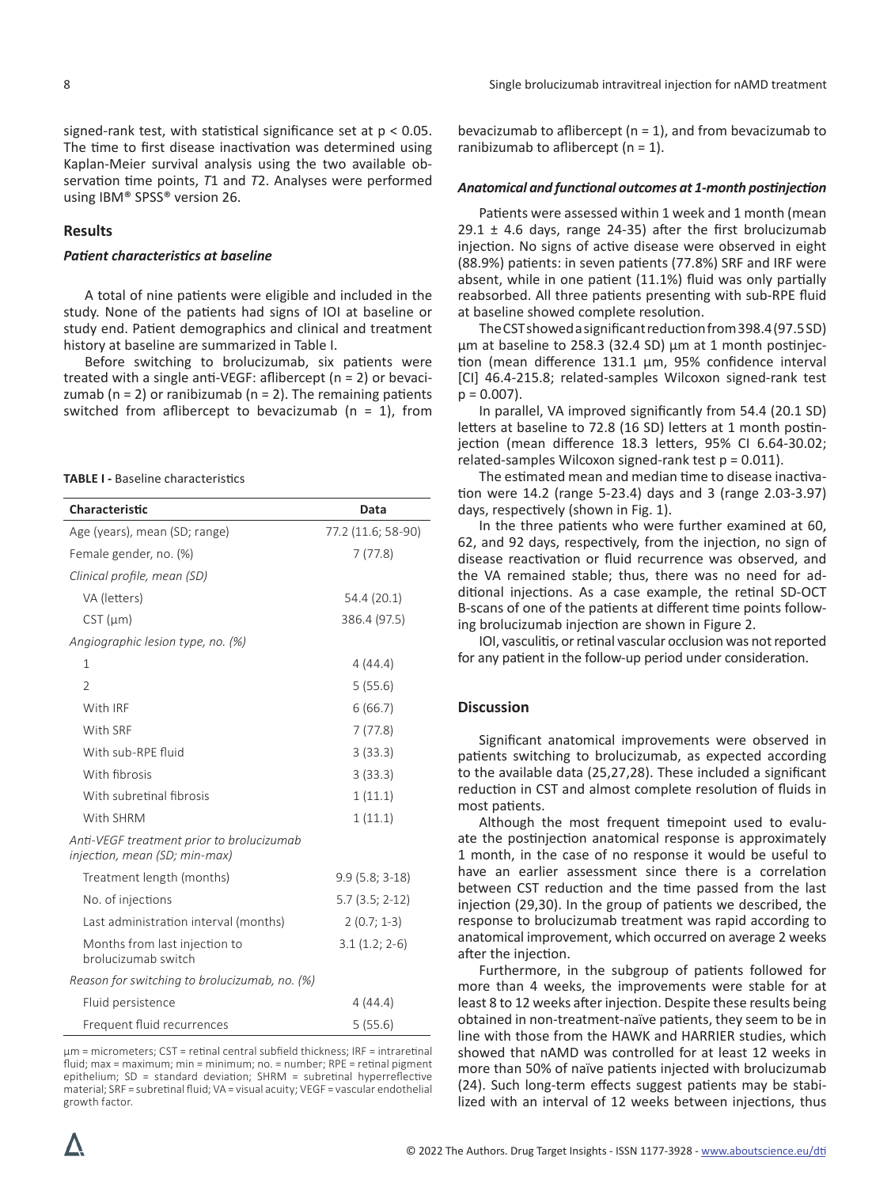signed-rank test, with statistical significance set at  $p < 0.05$ . The time to first disease inactivation was determined using Kaplan-Meier survival analysis using the two available observation time points, *T*1 and *T*2. Analyses were performed using IBM® SPSS® version 26.

#### **Results**

#### *Patient characteristics at baseline*

A total of nine patients were eligible and included in the study. None of the patients had signs of IOI at baseline or study end. Patient demographics and clinical and treatment history at baseline are summarized in Table I.

Before switching to brolucizumab, six patients were treated with a single anti-VEGF: aflibercept (n = 2) or bevacizumab ( $n = 2$ ) or ranibizumab ( $n = 2$ ). The remaining patients switched from aflibercept to bevacizumab ( $n = 1$ ), from

**TABLE I -** Baseline characteristics

| Characteristic                                                             | Data               |
|----------------------------------------------------------------------------|--------------------|
| Age (years), mean (SD; range)                                              | 77.2 (11.6; 58-90) |
| Female gender, no. (%)                                                     | 7(77.8)            |
| Clinical profile, mean (SD)                                                |                    |
| VA (letters)                                                               | 54.4 (20.1)        |
| $CST$ ( $µm$ )                                                             | 386.4 (97.5)       |
| Angiographic lesion type, no. (%)                                          |                    |
| 1                                                                          | 4(44.4)            |
| $\overline{2}$                                                             | 5(55.6)            |
| With IRF                                                                   | 6(66.7)            |
| With SRF                                                                   | 7(77.8)            |
| With sub-RPE fluid                                                         | 3(33.3)            |
| With fibrosis                                                              | 3(33.3)            |
| With subretinal fibrosis                                                   | 1(11.1)            |
| With SHRM                                                                  | 1(11.1)            |
| Anti-VEGF treatment prior to brolucizumab<br>injection, mean (SD; min-max) |                    |
| Treatment length (months)                                                  | $9.9(5.8; 3-18)$   |
| No. of injections                                                          | $5.7(3.5; 2-12)$   |
| Last administration interval (months)                                      | $2(0.7; 1-3)$      |
| Months from last injection to<br>brolucizumab switch                       | $3.1(1.2; 2-6)$    |
| Reason for switching to brolucizumab, no. (%)                              |                    |
| Fluid persistence                                                          | 4(44.4)            |
| Frequent fluid recurrences                                                 | 5(55.6)            |

µm = micrometers; CST = retinal central subfield thickness; IRF = intraretinal fluid; max = maximum; min = minimum; no. = number; RPE = retinal pigment epithelium; SD = standard deviation; SHRM = subretinal hyperreflective material; SRF = subretinal fluid; VA = visual acuity; VEGF = vascular endothelial growth factor.

bevacizumab to aflibercept ( $n = 1$ ), and from bevacizumab to ranibizumab to aflibercept  $(n = 1)$ .

#### *Anatomical and functional outcomes at 1-month postinjection*

Patients were assessed within 1 week and 1 month (mean 29.1  $\pm$  4.6 days, range 24-35) after the first brolucizumab injection. No signs of active disease were observed in eight (88.9%) patients: in seven patients (77.8%) SRF and IRF were absent, while in one patient (11.1%) fluid was only partially reabsorbed. All three patients presenting with sub-RPE fluid at baseline showed complete resolution.

The CST showed a significant reduction from 398.4 (97.5 SD) μm at baseline to 258.3 (32.4 SD) μm at 1 month postinjection (mean difference 131.1 μm, 95% confidence interval [CI] 46.4-215.8; related-samples Wilcoxon signed-rank test  $p = 0.007$ ).

In parallel, VA improved significantly from 54.4 (20.1 SD) letters at baseline to 72.8 (16 SD) letters at 1 month postinjection (mean difference 18.3 letters, 95% CI 6.64-30.02; related-samples Wilcoxon signed-rank test p = 0.011).

The estimated mean and median time to disease inactivation were 14.2 (range 5-23.4) days and 3 (range 2.03-3.97) days, respectively (shown in Fig. 1).

In the three patients who were further examined at 60, 62, and 92 days, respectively, from the injection, no sign of disease reactivation or fluid recurrence was observed, and the VA remained stable; thus, there was no need for additional injections. As a case example, the retinal SD-OCT B-scans of one of the patients at different time points following brolucizumab injection are shown in Figure 2.

IOI, vasculitis, or retinal vascular occlusion was not reported for any patient in the follow-up period under consideration.

#### **Discussion**

Significant anatomical improvements were observed in patients switching to brolucizumab, as expected according to the available data (25,27,28). These included a significant reduction in CST and almost complete resolution of fluids in most patients.

Although the most frequent timepoint used to evaluate the postinjection anatomical response is approximately 1 month, in the case of no response it would be useful to have an earlier assessment since there is a correlation between CST reduction and the time passed from the last injection (29,30). In the group of patients we described, the response to brolucizumab treatment was rapid according to anatomical improvement, which occurred on average 2 weeks after the injection.

Furthermore, in the subgroup of patients followed for more than 4 weeks, the improvements were stable for at least 8 to 12 weeks after injection. Despite these results being obtained in non-treatment-naïve patients, they seem to be in line with those from the HAWK and HARRIER studies, which showed that nAMD was controlled for at least 12 weeks in more than 50% of naïve patients injected with brolucizumab (24). Such long-term effects suggest patients may be stabilized with an interval of 12 weeks between injections, thus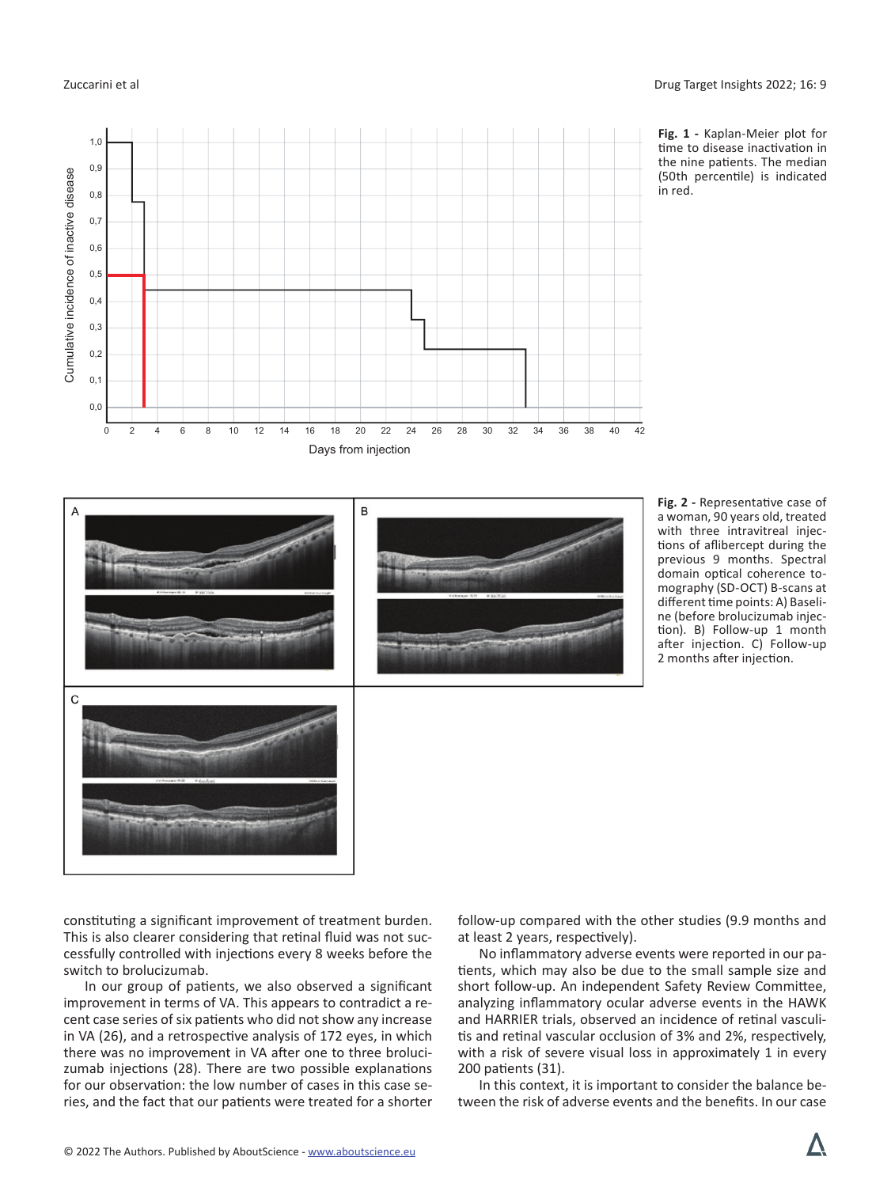$\mathbf{C}$ 



**Fig. 1 -** Kaplan-Meier plot for time to disease inactivation in the nine patients. The median (50th percentile) is indicated in red.

**Fig. 2 -** Representative case of a woman, 90 years old, treated with three intravitreal injections of aflibercept during the previous 9 months. Spectral domain optical coherence tomography (SD-OCT) B-scans at different time points: A) Baseline (before brolucizumab injection). B) Follow-up 1 month after injection. C) Follow-up 2 months after injection.

constituting a significant improvement of treatment burden. This is also clearer considering that retinal fluid was not successfully controlled with injections every 8 weeks before the switch to brolucizumab.

In our group of patients, we also observed a significant improvement in terms of VA. This appears to contradict a recent case series of six patients who did not show any increase in VA (26), and a retrospective analysis of 172 eyes, in which there was no improvement in VA after one to three brolucizumab injections (28). There are two possible explanations for our observation: the low number of cases in this case series, and the fact that our patients were treated for a shorter follow-up compared with the other studies (9.9 months and at least 2 years, respectively).

No inflammatory adverse events were reported in our patients, which may also be due to the small sample size and short follow-up. An independent Safety Review Committee, analyzing inflammatory ocular adverse events in the HAWK and HARRIER trials, observed an incidence of retinal vasculitis and retinal vascular occlusion of 3% and 2%, respectively, with a risk of severe visual loss in approximately 1 in every 200 patients (31).

In this context, it is important to consider the balance between the risk of adverse events and the benefits. In our case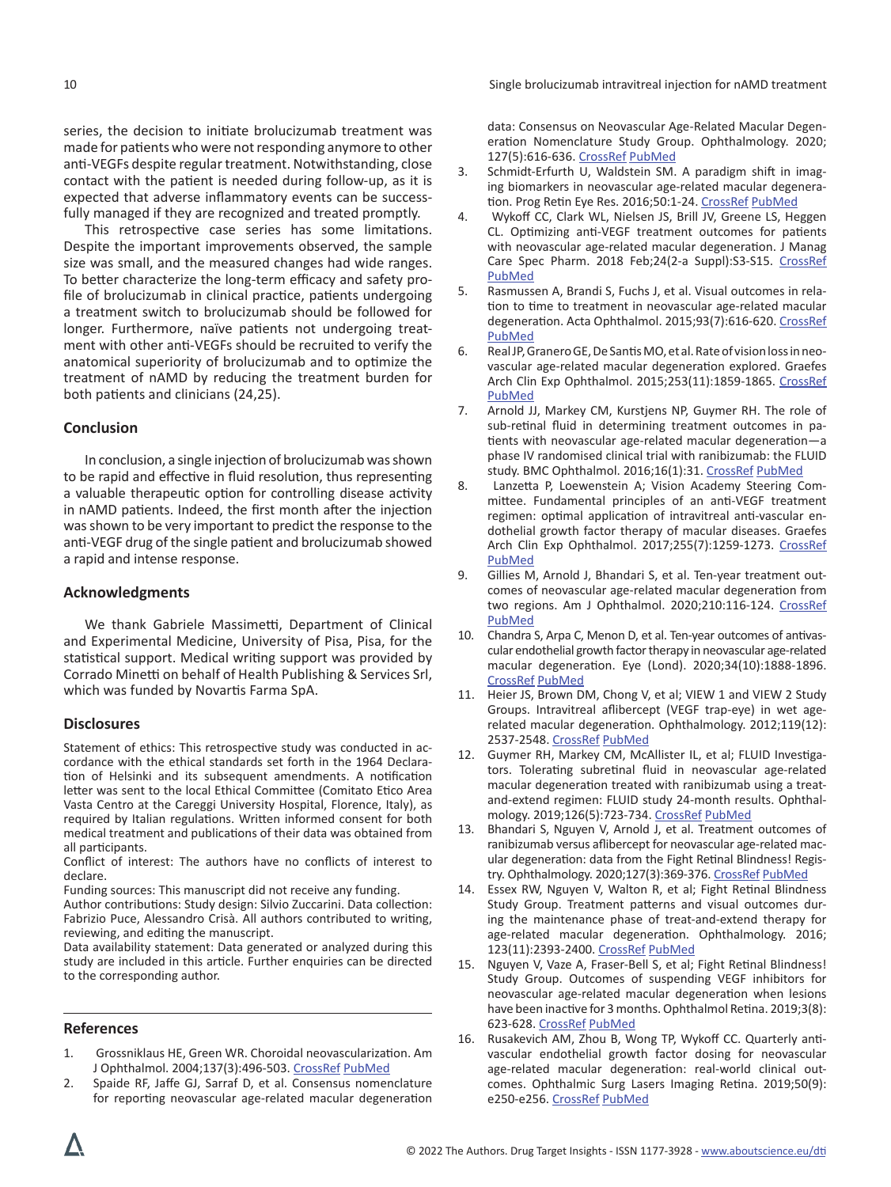series, the decision to initiate brolucizumab treatment was made for patients who were not responding anymore to other anti-VEGFs despite regular treatment. Notwithstanding, close contact with the patient is needed during follow-up, as it is expected that adverse inflammatory events can be successfully managed if they are recognized and treated promptly.

This retrospective case series has some limitations. Despite the important improvements observed, the sample size was small, and the measured changes had wide ranges. To better characterize the long-term efficacy and safety profile of brolucizumab in clinical practice, patients undergoing a treatment switch to brolucizumab should be followed for longer. Furthermore, naïve patients not undergoing treatment with other anti-VEGFs should be recruited to verify the anatomical superiority of brolucizumab and to optimize the treatment of nAMD by reducing the treatment burden for both patients and clinicians (24,25).

# **Conclusion**

In conclusion, a single injection of brolucizumab was shown to be rapid and effective in fluid resolution, thus representing a valuable therapeutic option for controlling disease activity in nAMD patients. Indeed, the first month after the injection was shown to be very important to predict the response to the anti-VEGF drug of the single patient and brolucizumab showed a rapid and intense response.

### **Acknowledgments**

We thank Gabriele Massimetti, Department of Clinical and Experimental Medicine, University of Pisa, Pisa, for the statistical support. Medical writing support was provided by Corrado Minetti on behalf of Health Publishing & Services Srl, which was funded by Novartis Farma SpA.

### **Disclosures**

Statement of ethics: This retrospective study was conducted in accordance with the ethical standards set forth in the 1964 Declaration of Helsinki and its subsequent amendments. A notification letter was sent to the local Ethical Committee (Comitato Etico Area Vasta Centro at the Careggi University Hospital, Florence, Italy), as required by Italian regulations. Written informed consent for both medical treatment and publications of their data was obtained from all participants.

Conflict of interest: The authors have no conflicts of interest to declare.

Funding sources: This manuscript did not receive any funding.

Author contributions: Study design: Silvio Zuccarini. Data collection: Fabrizio Puce, Alessandro Crisà. All authors contributed to writing, reviewing, and editing the manuscript.

Data availability statement: Data generated or analyzed during this study are included in this article. Further enquiries can be directed to the corresponding author.

### **References**

- 1. Grossniklaus HE, Green WR. Choroidal neovascularization. Am J Ophthalmol. 2004;137(3):496-503. [CrossRef](https://doi.org/10.1016/j.ajo.2003.09.042) [PubMed](https://www.ncbi.nlm.nih.gov/pubmed/15013874)
- 2. Spaide RF, Jaffe GJ, Sarraf D, et al. Consensus nomenclature for reporting neovascular age-related macular degeneration

data: Consensus on Neovascular Age-Related Macular Degeneration Nomenclature Study Group. Ophthalmology. 2020; 127(5):616-636. [CrossRef](https://doi.org/10.1016/j.ophtha.2019.11.004) [PubMed](https://www.ncbi.nlm.nih.gov/pubmed/31864668)

- 3. Schmidt-Erfurth U, Waldstein SM. A paradigm shift in imaging biomarkers in neovascular age-related macular degeneration. Prog Retin Eye Res. 2016;50:1-24. [CrossRef](https://doi.org/10.1016/j.preteyeres.2015.07.007) [PubMed](https://www.ncbi.nlm.nih.gov/pubmed/26307399)
- 4. Wykoff CC, Clark WL, Nielsen JS, Brill JV, Greene LS, Heggen CL. Optimizing anti-VEGF treatment outcomes for patients with neovascular age-related macular degeneration. J Manag Care Spec Pharm. 2018 Feb;24(2-a Suppl):S3-S15. [CrossRef](https://doi.org/10.18553/jmcp.2018.24.2-a.s3) [PubMed](https://pubmed.ncbi.nlm.nih.gov/29383980/)
- 5. Rasmussen A, Brandi S, Fuchs J, et al. Visual outcomes in relation to time to treatment in neovascular age-related macular degeneration. Acta Ophthalmol. 2015;93(7):616-620. [CrossRef](https://doi.org/10.1111/aos.12781) [PubMed](https://www.ncbi.nlm.nih.gov/pubmed/26073051)
- 6. Real JP, Granero GE, De Santis MO, et al. Rate of vision loss in neovascular age-related macular degeneration explored. Graefes Arch Clin Exp Ophthalmol. 2015;253(11):1859-1865. [CrossRef](https://doi.org/10.1007/s00417-014-2885-y) [PubMed](https://www.ncbi.nlm.nih.gov/pubmed/25491161)
- 7. Arnold JJ, Markey CM, Kurstjens NP, Guymer RH. The role of sub-retinal fluid in determining treatment outcomes in patients with neovascular age-related macular degeneration—a phase IV randomised clinical trial with ranibizumab: the FLUID study. BMC Ophthalmol. 2016;16(1):31. [CrossRef](https://doi.org/10.1186/s12886-016-0207-3) [PubMed](https://www.ncbi.nlm.nih.gov/pubmed/27009515)
- 8. Lanzetta P, Loewenstein A; Vision Academy Steering Committee. Fundamental principles of an anti-VEGF treatment regimen: optimal application of intravitreal anti-vascular endothelial growth factor therapy of macular diseases. Graefes Arch Clin Exp Ophthalmol. 2017;255(7):1259-1273. [CrossRef](https://doi.org/10.1007/s00417-017-3647-4) [PubMed](https://www.ncbi.nlm.nih.gov/pubmed/28527040)
- 9. Gillies M, Arnold J, Bhandari S, et al. Ten-year treatment outcomes of neovascular age-related macular degeneration from two regions. Am J Ophthalmol. 2020;210:116-124. [CrossRef](https://doi.org/10.1016/j.ajo.2019.10.007) [PubMed](https://www.ncbi.nlm.nih.gov/pubmed/31606444)
- 10. Chandra S, Arpa C, Menon D, et al. Ten-year outcomes of antivascular endothelial growth factor therapy in neovascular age-related macular degeneration. Eye (Lond). 2020;34(10):1888-1896. [CrossRef](https://doi.org/10.1038/s41433-020-0764-9) [PubMed](https://www.ncbi.nlm.nih.gov/pubmed/31980748)
- 11. Heier JS, Brown DM, Chong V, et al; VIEW 1 and VIEW 2 Study Groups. Intravitreal aflibercept (VEGF trap-eye) in wet agerelated macular degeneration. Ophthalmology. 2012;119(12): 2537-2548. [CrossRef](https://doi.org/10.1016/j.ophtha.2012.09.006) [PubMed](https://www.ncbi.nlm.nih.gov/pubmed/23084240)
- 12. Guymer RH, Markey CM, McAllister IL, et al; FLUID Investigators. Tolerating subretinal fluid in neovascular age-related macular degeneration treated with ranibizumab using a treatand-extend regimen: FLUID study 24-month results. Ophthalmology. 2019;126(5):723-734. [CrossRef](https://doi.org/10.1016/j.ophtha.2018.11.025) [PubMed](https://www.ncbi.nlm.nih.gov/pubmed/30502372)
- 13. Bhandari S, Nguyen V, Arnold J, et al. Treatment outcomes of ranibizumab versus aflibercept for neovascular age-related macular degeneration: data from the Fight Retinal Blindness! Registry. Ophthalmology. 2020;127(3):369-376. [CrossRef](https://doi.org/10.1016/j.ophtha.2019.10.006) [PubMed](https://www.ncbi.nlm.nih.gov/pubmed/31757494)
- 14. Essex RW, Nguyen V, Walton R, et al; Fight Retinal Blindness Study Group. Treatment patterns and visual outcomes during the maintenance phase of treat-and-extend therapy for age-related macular degeneration. Ophthalmology. 2016; 123(11):2393-2400. [CrossRef](https://doi.org/10.1016/j.ophtha.2016.07.012) [PubMed](https://www.ncbi.nlm.nih.gov/pubmed/27554034)
- 15. Nguyen V, Vaze A, Fraser-Bell S, et al; Fight Retinal Blindness! Study Group. Outcomes of suspending VEGF inhibitors for neovascular age-related macular degeneration when lesions have been inactive for 3 months. Ophthalmol Retina. 2019;3(8): 623-628. [CrossRef](https://doi.org/10.1016/j.oret.2019.05.013) [PubMed](https://www.ncbi.nlm.nih.gov/pubmed/31281103)
- 16. Rusakevich AM, Zhou B, Wong TP, Wykoff CC. Quarterly antivascular endothelial growth factor dosing for neovascular age-related macular degeneration: real-world clinical outcomes. Ophthalmic Surg Lasers Imaging Retina. 2019;50(9): e250-e256. [CrossRef](https://doi.org/10.3928/23258160-20190905-17) [PubMed](https://www.ncbi.nlm.nih.gov/pubmed/31589766)